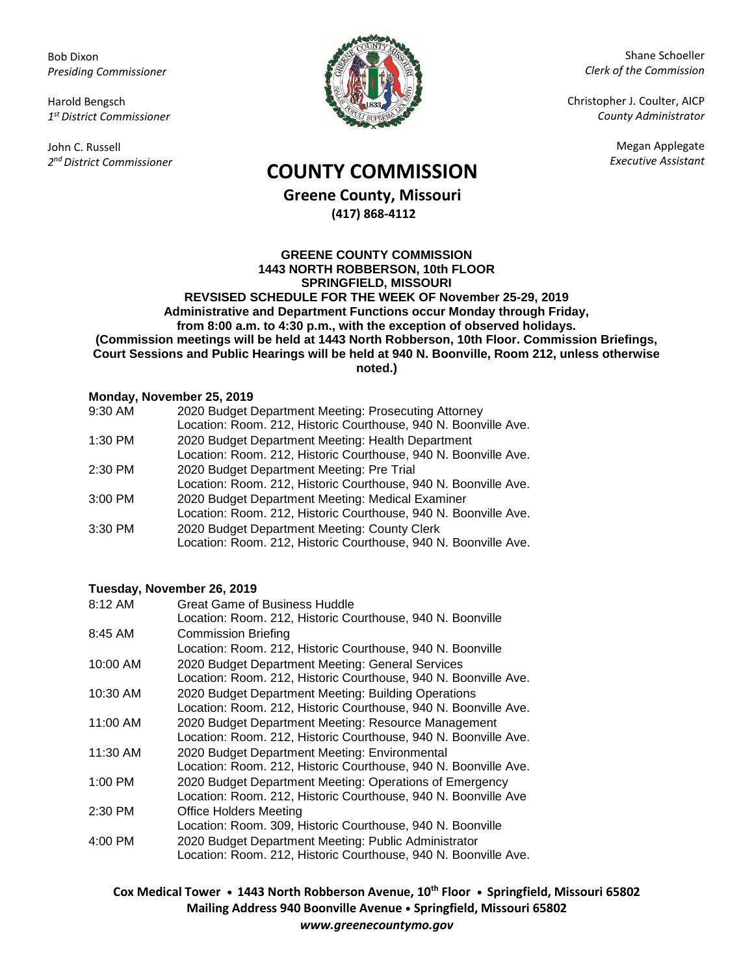Bob Dixon *Presiding Commissioner*

Harold Bengsch *1 st District Commissioner*

John C. Russell *2 nd District Commissioner*



Shane Schoeller *Clerk of the Commission*

Christopher J. Coulter, AICP *County Administrator*

Megan Applegate

# *Executive Assistant* **COUNTY COMMISSION**

**Greene County, Missouri (417) 868-4112**

**GREENE COUNTY COMMISSION 1443 NORTH ROBBERSON, 10th FLOOR SPRINGFIELD, MISSOURI REVSISED SCHEDULE FOR THE WEEK OF November 25-29, 2019 Administrative and Department Functions occur Monday through Friday, from 8:00 a.m. to 4:30 p.m., with the exception of observed holidays. (Commission meetings will be held at 1443 North Robberson, 10th Floor. Commission Briefings, Court Sessions and Public Hearings will be held at 940 N. Boonville, Room 212, unless otherwise noted.)**

## **Monday, November 25, 2019**

| 9:30 AM | 2020 Budget Department Meeting: Prosecuting Attorney            |
|---------|-----------------------------------------------------------------|
|         | Location: Room. 212, Historic Courthouse, 940 N. Boonville Ave. |
| 1:30 PM | 2020 Budget Department Meeting: Health Department               |
|         | Location: Room. 212, Historic Courthouse, 940 N. Boonville Ave. |
| 2:30 PM | 2020 Budget Department Meeting: Pre Trial                       |
|         | Location: Room. 212, Historic Courthouse, 940 N. Boonville Ave. |
| 3:00 PM | 2020 Budget Department Meeting: Medical Examiner                |
|         | Location: Room. 212, Historic Courthouse, 940 N. Boonville Ave. |
| 3:30 PM | 2020 Budget Department Meeting: County Clerk                    |
|         | Location: Room. 212, Historic Courthouse, 940 N. Boonville Ave. |

### **Tuesday, November 26, 2019**

| 8:12 AM   | <b>Great Game of Business Huddle</b>                            |
|-----------|-----------------------------------------------------------------|
|           | Location: Room. 212, Historic Courthouse, 940 N. Boonville      |
| 8:45 AM   | <b>Commission Briefing</b>                                      |
|           | Location: Room. 212, Historic Courthouse, 940 N. Boonville      |
| 10:00 AM  | 2020 Budget Department Meeting: General Services                |
|           | Location: Room. 212, Historic Courthouse, 940 N. Boonville Ave. |
| 10:30 AM  | 2020 Budget Department Meeting: Building Operations             |
|           | Location: Room. 212, Historic Courthouse, 940 N. Boonville Ave. |
| 11:00 AM  | 2020 Budget Department Meeting: Resource Management             |
|           | Location: Room. 212, Historic Courthouse, 940 N. Boonville Ave. |
| 11:30 AM  | 2020 Budget Department Meeting: Environmental                   |
|           | Location: Room. 212, Historic Courthouse, 940 N. Boonville Ave. |
| $1:00$ PM | 2020 Budget Department Meeting: Operations of Emergency         |
|           | Location: Room. 212, Historic Courthouse, 940 N. Boonville Ave  |
| 2:30 PM   | <b>Office Holders Meeting</b>                                   |
|           | Location: Room. 309, Historic Courthouse, 940 N. Boonville      |
| 4:00 PM   | 2020 Budget Department Meeting: Public Administrator            |
|           | Location: Room. 212, Historic Courthouse, 940 N. Boonville Ave. |

**Cox Medical Tower • 1443 North Robberson Avenue, 10th Floor • Springfield, Missouri 65802 Mailing Address 940 Boonville Avenue • Springfield, Missouri 65802** *www.greenecountymo.gov*